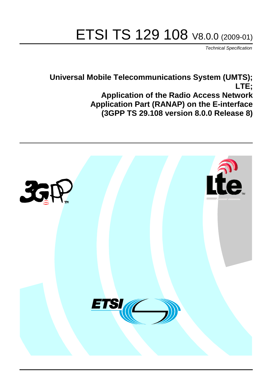# ETSI TS 129 108 V8.0.0 (2009-01)

*Technical Specification*

**Universal Mobile Telecommunications System (UMTS); LTE; Application of the Radio Access Network Application Part (RANAP) on the E-interface (3GPP TS 29.108 version 8.0.0 Release 8)**

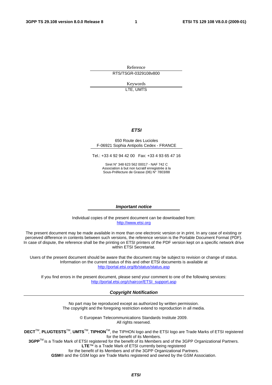Reference RTS/TSGR-0329108v800

> Keywords LTE, UMTS

#### *ETSI*

#### 650 Route des Lucioles F-06921 Sophia Antipolis Cedex - FRANCE

Tel.: +33 4 92 94 42 00 Fax: +33 4 93 65 47 16

Siret N° 348 623 562 00017 - NAF 742 C Association à but non lucratif enregistrée à la Sous-Préfecture de Grasse (06) N° 7803/88

#### *Important notice*

Individual copies of the present document can be downloaded from: [http://www.etsi.org](http://www.etsi.org/)

The present document may be made available in more than one electronic version or in print. In any case of existing or perceived difference in contents between such versions, the reference version is the Portable Document Format (PDF). In case of dispute, the reference shall be the printing on ETSI printers of the PDF version kept on a specific network drive within ETSI Secretariat.

Users of the present document should be aware that the document may be subject to revision or change of status. Information on the current status of this and other ETSI documents is available at <http://portal.etsi.org/tb/status/status.asp>

If you find errors in the present document, please send your comment to one of the following services: [http://portal.etsi.org/chaircor/ETSI\\_support.asp](http://portal.etsi.org/chaircor/ETSI_support.asp)

#### *Copyright Notification*

No part may be reproduced except as authorized by written permission. The copyright and the foregoing restriction extend to reproduction in all media.

> © European Telecommunications Standards Institute 2009. All rights reserved.

**DECT**TM, **PLUGTESTS**TM, **UMTS**TM, **TIPHON**TM, the TIPHON logo and the ETSI logo are Trade Marks of ETSI registered for the benefit of its Members.

**3GPP**TM is a Trade Mark of ETSI registered for the benefit of its Members and of the 3GPP Organizational Partners. **LTE**™ is a Trade Mark of ETSI currently being registered

for the benefit of its Members and of the 3GPP Organizational Partners.

**GSM**® and the GSM logo are Trade Marks registered and owned by the GSM Association.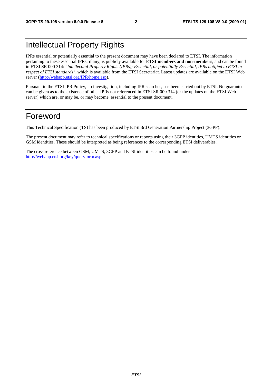## Intellectual Property Rights

IPRs essential or potentially essential to the present document may have been declared to ETSI. The information pertaining to these essential IPRs, if any, is publicly available for **ETSI members and non-members**, and can be found in ETSI SR 000 314: *"Intellectual Property Rights (IPRs); Essential, or potentially Essential, IPRs notified to ETSI in respect of ETSI standards"*, which is available from the ETSI Secretariat. Latest updates are available on the ETSI Web server (<http://webapp.etsi.org/IPR/home.asp>).

Pursuant to the ETSI IPR Policy, no investigation, including IPR searches, has been carried out by ETSI. No guarantee can be given as to the existence of other IPRs not referenced in ETSI SR 000 314 (or the updates on the ETSI Web server) which are, or may be, or may become, essential to the present document.

### Foreword

This Technical Specification (TS) has been produced by ETSI 3rd Generation Partnership Project (3GPP).

The present document may refer to technical specifications or reports using their 3GPP identities, UMTS identities or GSM identities. These should be interpreted as being references to the corresponding ETSI deliverables.

The cross reference between GSM, UMTS, 3GPP and ETSI identities can be found under <http://webapp.etsi.org/key/queryform.asp>.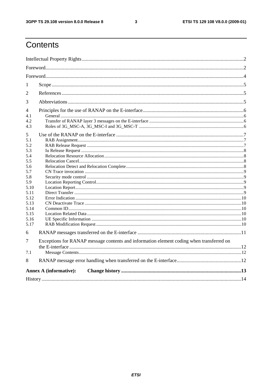$\mathbf{3}$ 

## Contents

| 1              |                                                                                          |  |  |  |  |  |
|----------------|------------------------------------------------------------------------------------------|--|--|--|--|--|
| 2              |                                                                                          |  |  |  |  |  |
| 3              |                                                                                          |  |  |  |  |  |
| $\overline{4}$ |                                                                                          |  |  |  |  |  |
| 4.1            |                                                                                          |  |  |  |  |  |
| 4.2.           |                                                                                          |  |  |  |  |  |
| 4.3            |                                                                                          |  |  |  |  |  |
| 5              |                                                                                          |  |  |  |  |  |
| 5.1            |                                                                                          |  |  |  |  |  |
| 5.2            |                                                                                          |  |  |  |  |  |
| 5.3            |                                                                                          |  |  |  |  |  |
| 5.4            |                                                                                          |  |  |  |  |  |
| 5.5            |                                                                                          |  |  |  |  |  |
| 5.6            |                                                                                          |  |  |  |  |  |
| 5.7            |                                                                                          |  |  |  |  |  |
| 5.8            |                                                                                          |  |  |  |  |  |
| 5.9            |                                                                                          |  |  |  |  |  |
| 5.10           |                                                                                          |  |  |  |  |  |
| 5.11           |                                                                                          |  |  |  |  |  |
| 5.12<br>5.13   |                                                                                          |  |  |  |  |  |
| 5.14           |                                                                                          |  |  |  |  |  |
| 5.15           |                                                                                          |  |  |  |  |  |
| 5.16           |                                                                                          |  |  |  |  |  |
| 5.17           |                                                                                          |  |  |  |  |  |
| 6              |                                                                                          |  |  |  |  |  |
|                |                                                                                          |  |  |  |  |  |
| 7              | Exceptions for RANAP message contents and information element coding when transferred on |  |  |  |  |  |
| 7.1            |                                                                                          |  |  |  |  |  |
| 8              |                                                                                          |  |  |  |  |  |
|                | <b>Annex A (informative):</b>                                                            |  |  |  |  |  |
|                |                                                                                          |  |  |  |  |  |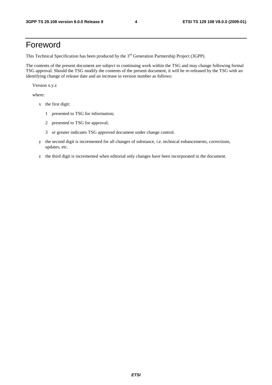### Foreword

This Technical Specification has been produced by the 3<sup>rd</sup> Generation Partnership Project (3GPP).

The contents of the present document are subject to continuing work within the TSG and may change following formal TSG approval. Should the TSG modify the contents of the present document, it will be re-released by the TSG with an identifying change of release date and an increase in version number as follows:

Version x.y.z

where:

- x the first digit:
	- 1 presented to TSG for information;
	- 2 presented to TSG for approval;
	- 3 or greater indicates TSG approved document under change control.
- y the second digit is incremented for all changes of substance, i.e. technical enhancements, corrections, updates, etc.
- z the third digit is incremented when editorial only changes have been incorporated in the document.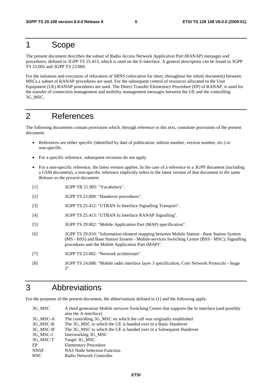### 1 Scope

The present document describes the subset of Radio Access Network Application Part (RANAP) messages and procedures, defined in 3GPP TS 25.413, which is used on the E-interface. A general description can be found in 3GPP TS 23.002 and 3GPP TS 23.009.

For the initiation and execution of relocation of SRNS (relocation for short, throughout the whole document) between MSCs a subset of RANAP procedures are used. For the subsequent control of resources allocated to the User Equipment (UE) RANAP procedures are used. The Direct Transfer Elementary Procedure (EP) of RANAP, is used for the transfer of connection management and mobility management messages between the UE and the controlling 3G\_MSC.

### 2 References

The following documents contain provisions which, through reference in this text, constitute provisions of the present document.

- References are either specific (identified by date of publication, edition number, version number, etc.) or non-specific.
- For a specific reference, subsequent revisions do not apply.
- For a non-specific reference, the latest version applies. In the case of a reference to a 3GPP document (including a GSM document), a non-specific reference implicitly refers to the latest version of that document *in the same Release as the present document*.
- [1] 3GPP TR 21.905: "Vocabulary".
- [2] 3GPP TS 23.009: "Handover procedures".
- [3] 3GPP TS 25.412: "UTRAN Iu Interface Signalling Transport".
- [4] 3GPP TS 25.413: "UTRAN Iu Interface RANAP Signalling".
- [5] 3GPP TS 29.002: "Mobile Application Part (MAP) specification".
- [6] 3GPP TS 29.010: "Information element mapping between Mobile Station Base Station System (MS - BSS) and Base Station System - Mobile-services Switching Centre (BSS - MSC); Signalling procedures and the Mobile Application Part (MAP)".
- [7] 3GPP TS 23.002: "Network architecture".
- [8] 3GPP TS 24.008: "Mobile radio interface layer 3 specification; Core Network Protocols Stage 3".

#### 3 Abbreviations

For the purposes of the present document, the abbreviations defined in [1] and the following apply:

| 3G MSC      | A third generation Mobile services Switching Centre that supports the Iu interface (and possibly |
|-------------|--------------------------------------------------------------------------------------------------|
|             | also the A-interface)                                                                            |
| 3G MSC-A    | The controlling 3G_MSC on which the call was originally established                              |
| 3G MSC-B    | The 3G MSC to which the UE is handed over in a Basic Handover                                    |
| 3G MSC-B'   | The 3G MSC to which the UE is handed over in a Subsequent Handover                               |
| 3G MSC-I    | Interworking 3G_MSC                                                                              |
| 3G MSC-T    | Target 3G_MSC                                                                                    |
| EP          | <b>Elementary Procedure</b>                                                                      |
| <b>NNSF</b> | <b>NAS Node Selection Function</b>                                                               |
| <b>RNC</b>  | Radio Network Controller                                                                         |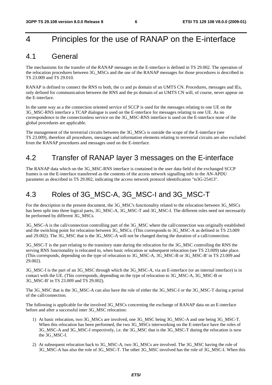### 4 Principles for the use of RANAP on the E-interface

#### 4.1 General

The mechanisms for the transfer of the RANAP messages on the E-interface is defined in TS 29.002. The operation of the relocation procedures between 3G\_MSCs and the use of the RANAP messages for those procedures is described in TS 23.009 and TS 29.010.

RANAP is defined to connect the RNS to both, the cs and ps domain of an UMTS CN. Procedures, messages and IEs, only defined for communication between the RNS and the ps domain of an UMTS CN will, of course, never appear on the E-interface.

In the same way as a the connection oriented service of SCCP is used for the messages relating to one UE on the 3G\_MSC-RNS interface a TCAP dialogue is used on the E-interface for messages relating to one UE. As no correspondence to the connectionless service on the 3G\_MSC-RNS interface is used on the E-interface none of the global procedures are applicable.

The management of the terrestrial circuits between the 3G\_MSCs is outside the scope of the E-interface (see TS 23.009), therefore all procedures, messages and information elements relating to terrestrial circuits are also excluded from the RANAP procedures and messages used on the E-interface.

### 4.2 Transfer of RANAP layer 3 messages on the E-interface

The RANAP data which on the 3G\_MSC-RNS interface is contained in the user data field of the exchanged SCCP frames is on the E-interface transferred as the contents of the access network signalling info in the AN-APDU parameter as described in TS 29.002, indicating the access network protocol identification "ts3G-25413".

### 4.3 Roles of 3G MSC-A, 3G MSC-I and 3G MSC-T

For the description in the present document, the 3G\_MSC's functionality related to the relocation between 3G\_MSCs has been split into three logical parts, 3G\_MSC-A, 3G\_MSC-T and 3G\_MSC-I. The different roles need not necessarily be performed by different 3G\_MSCs.

3G\_MSC-A is the call/connection controlling part of the 3G\_MSC where the call/connection was originally established and the switching point for relocation between 3G\_MSCs. (This corresponds to 3G\_MSC-A as defined in TS 23.009 and 29.002). The 3G\_MSC that is the 3G\_MSC-A will not be changed during the duration of a call/connection.

3G\_MSC-T is the part relating to the transitory state during the relocation for the 3G\_MSC controlling the RNS the serving RNS functionality is relocated to, when basic relocation or subsequent relocation (see TS 23.009) take place. (This corresponds, depending on the type of relocation to 3G\_MSC-A, 3G\_MSC-B or 3G\_MSC-B' in TS 23.009 and 29.002).

3G\_MSC-I is the part of an 3G\_MSC through which the 3G\_MSC-A, via an E-interface (or an internal interface) is in contact with the UE. (This corresponds, depending on the type of relocation to 3G\_MSC-A, 3G\_MSC-B or 3G\_MSC-B' in TS 23.009 and TS 29.002).

The 3G\_MSC that is the 3G\_MSC-A can also have the role of either the 3G\_MSC-I or the 3G\_MSC-T during a period of the call/connection.

The following is applicable for the involved 3G\_MSCs concerning the exchange of RANAP data on an E-interface before and after a successful inter 3G\_MSC relocation:

- 1) At basic relocation, two 3G\_MSCs are involved, one 3G\_MSC being 3G\_MSC-A and one being 3G\_MSC-T. When this relocation has been performed, the two 3G MSCs interworking on the E-interface have the roles of 3G\_MSC-A and 3G\_MSC-I respectively, i.e. the 3G\_MSC that is the 3G\_MSC-T during the relocation is now the 3G\_MSC-I.
- 2) At subsequent relocation back to 3G\_MSC-A, two 3G\_MSCs are involved. The 3G\_MSC having the role of 3G\_MSC-A has also the role of 3G\_MSC-T. The other 3G\_MSC involved has the role of 3G\_MSC-I. When this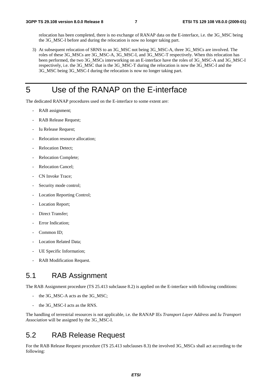relocation has been completed, there is no exchange of RANAP data on the E-interface, i.e. the 3G\_MSC being the 3G\_MSC-I before and during the relocation is now no longer taking part.

3) At subsequent relocation of SRNS to an 3G\_MSC not being 3G\_MSC-A, three 3G\_MSCs are involved. The roles of these 3G\_MSCs are 3G\_MSC-A, 3G\_MSC-I, and 3G\_MSC-T respectively. When this relocation has been performed, the two 3G\_MSCs interworking on an E-interface have the roles of 3G\_MSC-A and 3G\_MSC-I respectively, i.e. the 3G\_MSC that is the 3G\_MSC-T during the relocation is now the 3G\_MSC-I and the 3G\_MSC being 3G\_MSC-I during the relocation is now no longer taking part.

### 5 Use of the RANAP on the E-interface

The dedicated RANAP procedures used on the E-interface to some extent are:

- RAB assignment;
- RAB Release Request;
- Iu Release Request;
- Relocation resource allocation:
- Relocation Detect:
- Relocation Complete;
- Relocation Cancel;
- CN Invoke Trace:
- Security mode control;
- Location Reporting Control;
- Location Report;
- Direct Transfer;
- Error Indication;
- Common ID:
- Location Related Data;
- UE Specific Information;
- RAB Modification Request.

#### 5.1 RAB Assignment

The RAB Assignment procedure (TS 25.413 subclause 8.2) is applied on the E-interface with following conditions:

- the 3G\_MSC-A acts as the 3G\_MSC;
- the 3G\_MSC-I acts as the RNS.

The handling of terrestrial resources is not applicable, i.e. the RANAP IEs *Transport Layer Address* and *Iu Transport Association* will be assigned by the 3G\_MSC-I.

#### 5.2 RAB Release Request

For the RAB Release Request procedure (TS 25.413 subclauses 8.3) the involved 3G\_MSCs shall act according to the following: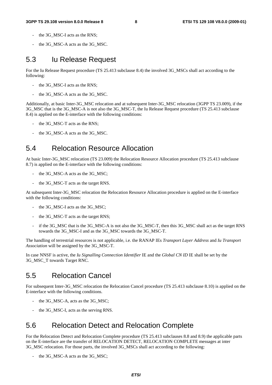- the 3G\_MSC-I acts as the RNS;
- the 3G\_MSC-A acts as the 3G\_MSC.

### 5.3 Iu Release Request

For the Iu Release Request procedure (TS 25.413 subclause 8.4) the involved 3G\_MSCs shall act according to the following:

- the 3G\_MSC-I acts as the RNS;
- the 3G\_MSC-A acts as the 3G\_MSC.

Additionally, at basic Inter-3G\_MSC relocation and at subsequent Inter-3G\_MSC relocation (3GPP TS 23.009), if the 3G\_MSC that is the 3G\_MSC-A is not also the 3G\_MSC-T, the Iu Release Request procedure (TS 25.413 subclause 8.4) is applied on the E-interface with the following conditions:

- the 3G\_MSC-T acts as the RNS;
- the 3G\_MSC-A acts as the 3G\_MSC.

### 5.4 Relocation Resource Allocation

At basic Inter-3G\_MSC relocation (TS 23.009) the Relocation Resource Allocation procedure (TS 25.413 subclause 8.7) is applied on the E-interface with the following conditions:

- the 3G\_MSC-A acts as the 3G\_MSC;
- the 3G\_MSC-T acts as the target RNS.

At subsequent Inter-3G\_MSC relocation the Relocation Resource Allocation procedure is applied on the E-interface with the following conditions:

- the 3G\_MSC-I acts as the 3G\_MSC;
- the 3G\_MSC-T acts as the target RNS;
- if the 3G\_MSC that is the 3G\_MSC-A is not also the 3G\_MSC-T, then this 3G\_MSC shall act as the target RNS towards the 3G\_MSC-I and as the 3G\_MSC towards the 3G\_MSC-T.

The handling of terrestrial resources is not applicable, i.e. the RANAP IEs *Transport Layer Address* and *Iu Transport Association* will be assigned by the 3G\_MSC-T.

In case NNSF is active, the *Iu Signalling Connection Identifier* IE and the *Global CN ID* IE shall be set by the 3G\_MSC\_T towards Target RNC.

#### 5.5 Relocation Cancel

For subsequent Inter-3G\_MSC relocation the Relocation Cancel procedure (TS 25.413 subclause 8.10) is applied on the E-interface with the following conditions.

- the 3G\_MSC-A, acts as the 3G\_MSC;
- the 3G\_MSC-I, acts as the serving RNS.

#### 5.6 Relocation Detect and Relocation Complete

For the Relocation Detect and Relocation Complete procedure (TS 25.413 subclauses 8.8 and 8.9) the applicable parts on the E-interface are the transfer of RELOCATION DETECT, RELOCATION COMPLETE messages at inter 3G\_MSC relocation. For those parts, the involved 3G\_MSCs shall act according to the following:

the 3G\_MSC-A acts as the 3G\_MSC;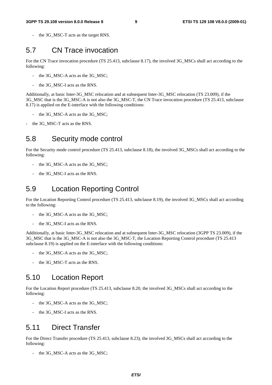the 3G MSC-T acts as the target RNS.

#### 5.7 CN Trace invocation

For the CN Trace invocation procedure (TS 25.413, subclause 8.17), the involved 3G\_MSCs shall act according to the following:

- the 3G\_MSC-A acts as the 3G\_MSC;
- the 3G\_MSC-I acts as the RNS.

Additionally, at basic Inter-3G\_MSC relocation and at subsequent Inter-3G\_MSC relocation (TS 23.009), if the 3G\_MSC that is the 3G\_MSC-A is not also the 3G\_MSC-T, the CN Trace invocation procedure (TS 25.413, subclause 8.17) is applied on the E-interface with the following conditions:

- the 3G\_MSC-A acts as the 3G\_MSC;
- the 3G\_MSC-T acts as the RNS.

#### 5.8 Security mode control

For the Security mode control procedure (TS 25.413, subclause 8.18), the involved 3G\_MSCs shall act according to the following:

- the 3G\_MSC-A acts as the 3G\_MSC;
- the 3G\_MSC-I acts as the RNS.

#### 5.9 Location Reporting Control

For the Location Reporting Control procedure (TS 25.413, subclause 8.19), the involved 3G\_MSCs shall act according to the following:

- the 3G\_MSC-A acts as the 3G\_MSC;
- the 3G\_MSC-I acts as the RNS.

Additionally, at basic Inter-3G\_MSC relocation and at subsequent Inter-3G\_MSC relocation (3GPP TS 23.009), if the 3G\_MSC that is the 3G\_MSC-A is not also the 3G\_MSC-T, the Location Reporting Control procedure (TS 25.413 subclause 8.19) is applied on the E-interface with the following conditions:

- the 3G\_MSC-A acts as the 3G\_MSC;
- the 3G\_MSC-T acts as the RNS.

#### 5.10 Location Report

For the Location Report procedure (TS 25.413, subclause 8.20, the involved 3G\_MSCs shall act according to the following:

- the 3G\_MSC-A acts as the 3G\_MSC;
- the 3G\_MSC-I acts as the RNS.

#### 5.11 Direct Transfer

For the Direct Transfer procedure (TS 25.413, subclause 8.23), the involved 3G\_MSCs shall act according to the following:

the 3G\_MSC-A acts as the 3G\_MSC;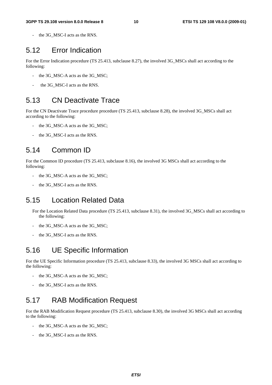the 3G\_MSC-I acts as the RNS.

### 5.12 Error Indication

For the Error Indication procedure (TS 25.413, subclause 8.27), the involved 3G\_MSCs shall act according to the following:

- the 3G\_MSC-A acts as the 3G\_MSC;
- the 3G\_MSC-I acts as the RNS.

#### 5.13 CN Deactivate Trace

For the CN Deactivate Trace procedure procedure (TS 25.413, subclause 8.28), the involved 3G\_MSCs shall act according to the following:

- the 3G\_MSC-A acts as the 3G\_MSC;
- the 3G\_MSC-I acts as the RNS.

#### 5.14 Common ID

For the Common ID procedure (TS 25.413, subclause 8.16), the involved 3G MSCs shall act according to the following:

- the 3G\_MSC-A acts as the 3G\_MSC;
- the 3G\_MSC-I acts as the RNS.

### 5.15 Location Related Data

For the Location Related Data procedure (TS 25.413, subclause 8.31), the involved 3G\_MSCs shall act according to the following:

- the 3G\_MSC-A acts as the 3G\_MSC;
- the 3G\_MSC-I acts as the RNS.

#### 5.16 UE Specific Information

For the UE Specific Information procedure (TS 25.413, subclause 8.33), the involved 3G MSCs shall act according to the following:

- the 3G\_MSC-A acts as the 3G\_MSC;
- the 3G\_MSC-I acts as the RNS.

#### 5.17 RAB Modification Request

For the RAB Modification Request procedure (TS 25.413, subclause 8.30), the involved 3G MSCs shall act according to the following:

- the 3G\_MSC-A acts as the 3G\_MSC;
- the 3G\_MSC-I acts as the RNS.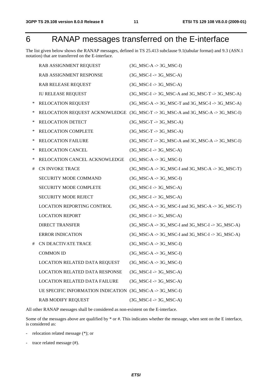## 6 RANAP messages transferred on the E-interface

The list given below shows the RANAP messages, defined in TS 25.413 subclause 9.1(tabular format) and 9.3 (ASN.1 notation) that are transferred on the E-interface.

|   | RAB ASSIGNMENT REQUEST                | $(3G_MSC-A \rightarrow 3G_MSC-I)$                                              |
|---|---------------------------------------|--------------------------------------------------------------------------------|
|   | RAB ASSIGNMENT RESPONSE               | $(3G_MSC-I \rightarrow 3G_MSC-A)$                                              |
|   | <b>RAB RELEASE REQUEST</b>            | $(3G_MSC-I \rightarrow 3G_MSC-A)$                                              |
|   | <b>IU RELEASE REQUEST</b>             | $(3G_MSC-I \rightarrow 3G_MSC-A$ and $3G_MSC-T \rightarrow 3G_MSC-A)$          |
| ∗ | RELOCATION REQUEST                    | $(3G_MSC-A \rightarrow 3G_MSC-T$ and $3G_MSC-I \rightarrow 3G_MSC-A)$          |
| ∗ |                                       | RELOCATION REQUEST ACKNOWLEDGE (3G_MSC-T -> 3G_MSC-A and 3G_MSC-A -> 3G_MSC-I) |
| ∗ | RELOCATION DETECT                     | $(3G_MSC-T \rightarrow 3G_MSC-A)$                                              |
| ∗ | RELOCATION COMPLETE                   | $(3G_MSC-T \rightarrow 3G_MSC-A)$                                              |
| ∗ | <b>RELOCATION FAILURE</b>             | $(3G_MSC-T \rightarrow 3G_MSC-A$ and $3G_MSC-A \rightarrow 3G_MSC-I)$          |
| ∗ | RELOCATION CANCEL                     | $(3G$ _MSC-I -> 3G_MSC-A)                                                      |
| ∗ | RELOCATION CANCEL ACKNOWLEDGE         | $(3G_MSC-A \rightarrow 3G_MSC-I)$                                              |
| # | <b>CN INVOKE TRACE</b>                | $(3G_MSC-A \rightarrow 3G_MSC-I$ and $3G_MSC-A \rightarrow 3G_MSC-T)$          |
|   | SECURITY MODE COMMAND                 | $(3G$ <sub>MSC</sub> -A -> 3G <sub>MSC</sub> -I)                               |
|   | SECURITY MODE COMPLETE                | $(3G_MSC-I \rightarrow 3G_MSC-A)$                                              |
|   | <b>SECURITY MODE REJECT</b>           | $(3G_MSC-I \rightarrow 3G_MSC-A)$                                              |
|   | <b>LOCATION REPORTING CONTROL</b>     | $(3G_MSC-A \rightarrow 3G_MSC-I$ and $3G_MSC-A \rightarrow 3G_MSC-T)$          |
|   | <b>LOCATION REPORT</b>                | $(3G_MSC-I \rightarrow 3G_MSC-A)$                                              |
|   | <b>DIRECT TRANSFER</b>                | $(3G_MSC-A \rightarrow 3G_MSC-I$ and $3G_MSC-I \rightarrow 3G_MSC-A)$          |
|   | <b>ERROR INDICATION</b>               | $(3G_MSC-A \rightarrow 3G_MSC-I$ and $3G_MSC-I \rightarrow 3G_MSC-A)$          |
| # | <b>CN DEACTIVATE TRACE</b>            | $(3G_MSC-A \rightarrow 3G_MSC-I)$                                              |
|   | <b>COMMON ID</b>                      | $(3G_MSC-A \rightarrow 3G_MSC-I)$                                              |
|   | LOCATION RELATED DATA REQUEST         | $(3G$ <sub>MSC</sub> -A -> 3G <sub>MSC</sub> -I                                |
|   | <b>LOCATION RELATED DATA RESPONSE</b> | $(3G$ <sub>MSC</sub> -I -> 3G <sub>MSC</sub> -A)                               |
|   | <b>LOCATION RELATED DATA FAILURE</b>  | $(3G$ _MSC-I -> 3G_MSC-A)                                                      |
|   | UE SPECIFIC INFORMATION INDICATION    | $(3G_MSC-A \rightarrow 3G_MSC-I)$                                              |
|   | <b>RAB MODIFY REQUEST</b>             | $(3G$ <sub>MSC</sub> -I -> $3G$ <sub>MSC</sub> -A)                             |

All other RANAP messages shall be considered as non-existent on the E-interface.

Some of the messages above are qualified by \* or #. This indicates whether the message, when sent on the E interface, is considered as:

- relocation related message (\*); or
- trace related message (#).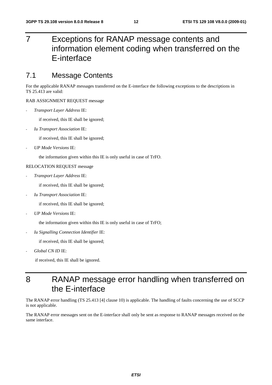## 7 Exceptions for RANAP message contents and information element coding when transferred on the E-interface

#### 7.1 Message Contents

For the applicable RANAP messages transferred on the E-interface the following exceptions to the descriptions in TS 25.413 are valid:

#### RAB ASSIGNMENT REQUEST message

- *Transport Layer Address* IE:

if received, this IE shall be ignored;

- *Iu Transport Association* IE:

if received, this IE shall be ignored;

- *UP Mode Versions* IE:

the information given within this IE is only useful in case of TrFO.

#### RELOCATION REQUEST message

- *Transport Layer Address* IE:

if received, this IE shall be ignored;

- *Iu Transport Association* IE:

if received, this IE shall be ignored;

- *UP Mode Versions* IE:

the information given within this IE is only useful in case of TrFO;

- *Iu Signalling Connection Identifier* IE:

if received, this IE shall be ignored;

- *Global CN ID* IE:

if received, this IE shall be ignored.

### 8 RANAP message error handling when transferred on the E-interface

The RANAP error handling (TS 25.413 [4] clause 10) is applicable. The handling of faults concerning the use of SCCP is not applicable.

The RANAP error messages sent on the E-interface shall only be sent as response to RANAP messages received on the same interface.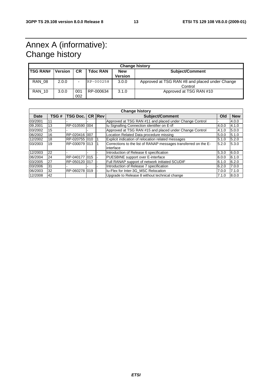## Annex A (informative): Change history

|                 | <b>Change history</b> |            |                 |                       |                                                           |  |  |  |
|-----------------|-----------------------|------------|-----------------|-----------------------|-----------------------------------------------------------|--|--|--|
| <b>TSG RAN#</b> | <b>Version</b>        | <b>CR</b>  | <b>Tdoc RAN</b> | <b>New</b><br>Version | <b>Subject/Comment</b>                                    |  |  |  |
| <b>RAN 08</b>   | 2.0.0                 | -          | RP-000258       | 3.0.0                 | Approved at TSG RAN #8 and placed under Change<br>Control |  |  |  |
| <b>RAN 10</b>   | 3.0.0                 | 001<br>002 | RP-000634       | 3.1.0                 | Approved at TSG RAN #10                                   |  |  |  |

| <b>Change history</b> |      |                 |  |        |                                                                              |       |            |
|-----------------------|------|-----------------|--|--------|------------------------------------------------------------------------------|-------|------------|
| <b>Date</b>           | TSG# | <b>TSG Doc.</b> |  | CR Rev | <b>Subject/Comment</b>                                                       | Old   | <b>New</b> |
| 03/2001               | 11   |                 |  |        | Approved at TSG RAN #11 and placed under Change Control                      |       | 4.0.0      |
| 09.2001               | 13   | RP-010590 004   |  |        | Iu Signalling Connection identifier on E-i/f                                 | 4.0.0 | 4.1.0      |
| 03/2002               | 15   |                 |  |        | Approved at TSG RAN #15 and placed under Change Control                      | 4.1.0 | 5.0.0      |
| 06/2002               | 16   | RP-020416 007   |  |        | Location Related Data procedure missing                                      | 5.0.0 | 5.1.0      |
| 12/2002               | 18   | RP-020755 010   |  |        | Explicit indication of relocation related messages                           | 5.1.0 | 5.2.0      |
| 03/2003               | 19   | RP-030079 013   |  |        | Corrections to the list of RANAP messages transferred on the E-<br>interface | 5.2.0 | 5.3.0      |
| 12/2003               | 22   |                 |  |        | Introduction of Release 6 specification                                      | 5.3.0 | 6.0.0      |
| 06/2004               | 24   |                 |  |        | PUESBINE support over E-interface                                            | 6.0.0 | 6.1.0      |
| 03/2005               | 27   | RP-050120 017   |  |        | Full RANAP support of network initiated SCUDIF                               | 6.1.0 | 6.2.0      |
| 03/2006               | 31   |                 |  |        | Introduction of Release 7 specification                                      | 6.2.0 | 7.0.0      |
| 06/2003               | 32   | RP-060278 019   |  |        | Iu-Flex for Inter-3G MSC Relocation                                          | 7.0.0 | 7.1.0      |
| 12/2008               | 42   |                 |  |        | Upgrade to Release 8 without technical change                                | 7.1.0 | 8.0.0      |